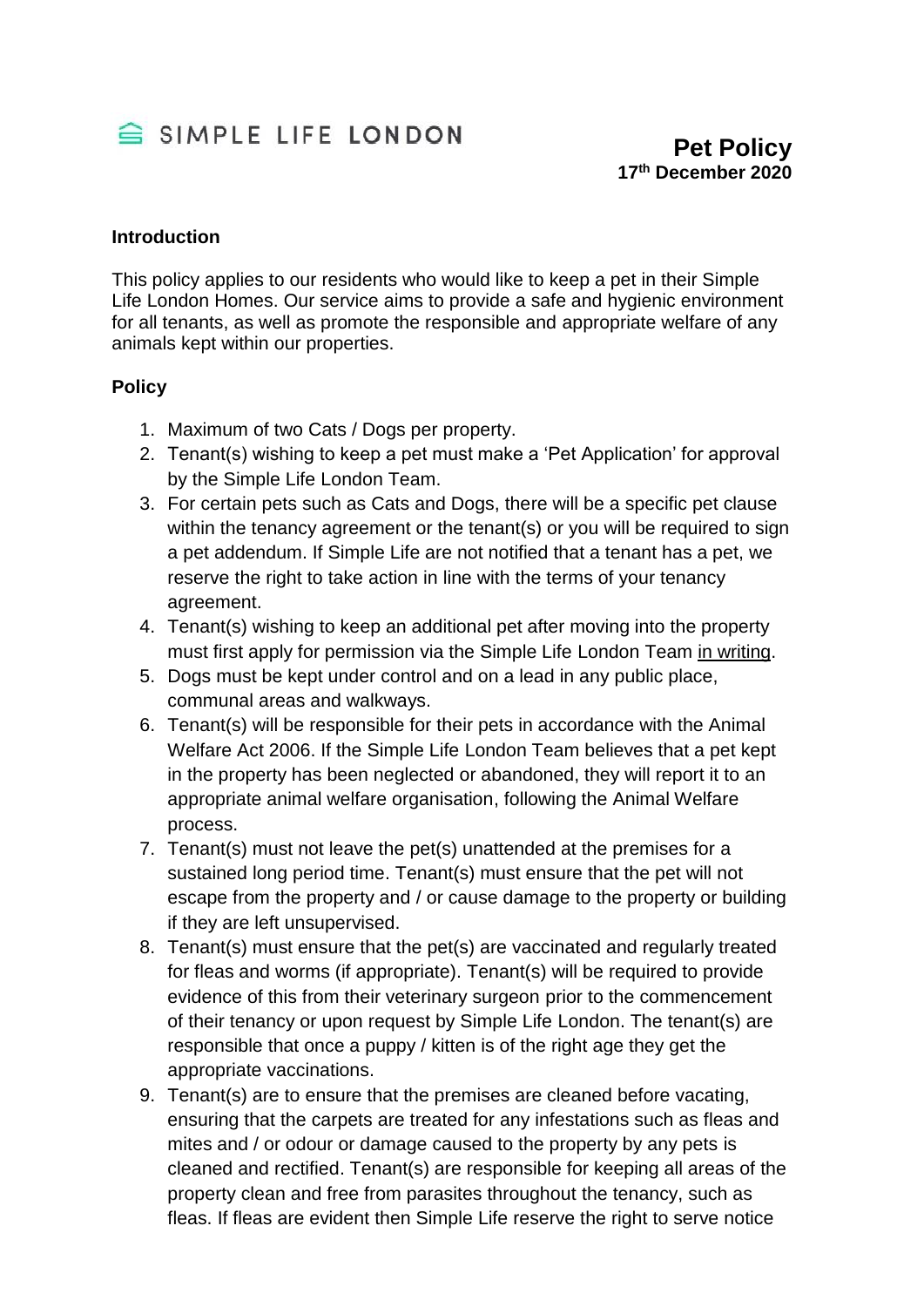

## **Introduction**

This policy applies to our residents who would like to keep a pet in their Simple Life London Homes. Our service aims to provide a safe and hygienic environment for all tenants, as well as promote the responsible and appropriate welfare of any animals kept within our properties.

## **Policy**

- 1. Maximum of two Cats / Dogs per property.
- 2. Tenant(s) wishing to keep a pet must make a 'Pet Application' for approval by the Simple Life London Team.
- 3. For certain pets such as Cats and Dogs, there will be a specific pet clause within the tenancy agreement or the tenant(s) or you will be required to sign a pet addendum. If Simple Life are not notified that a tenant has a pet, we reserve the right to take action in line with the terms of your tenancy agreement.
- 4. Tenant(s) wishing to keep an additional pet after moving into the property must first apply for permission via the Simple Life London Team in writing.
- 5. Dogs must be kept under control and on a lead in any public place, communal areas and walkways.
- 6. Tenant(s) will be responsible for their pets in accordance with the Animal Welfare Act 2006. If the Simple Life London Team believes that a pet kept in the property has been neglected or abandoned, they will report it to an appropriate animal welfare organisation, following the Animal Welfare process.
- 7. Tenant(s) must not leave the pet(s) unattended at the premises for a sustained long period time. Tenant(s) must ensure that the pet will not escape from the property and / or cause damage to the property or building if they are left unsupervised.
- 8. Tenant(s) must ensure that the pet(s) are vaccinated and regularly treated for fleas and worms (if appropriate). Tenant(s) will be required to provide evidence of this from their veterinary surgeon prior to the commencement of their tenancy or upon request by Simple Life London. The tenant(s) are responsible that once a puppy / kitten is of the right age they get the appropriate vaccinations.
- 9. Tenant(s) are to ensure that the premises are cleaned before vacating, ensuring that the carpets are treated for any infestations such as fleas and mites and / or odour or damage caused to the property by any pets is cleaned and rectified. Tenant(s) are responsible for keeping all areas of the property clean and free from parasites throughout the tenancy, such as fleas. If fleas are evident then Simple Life reserve the right to serve notice